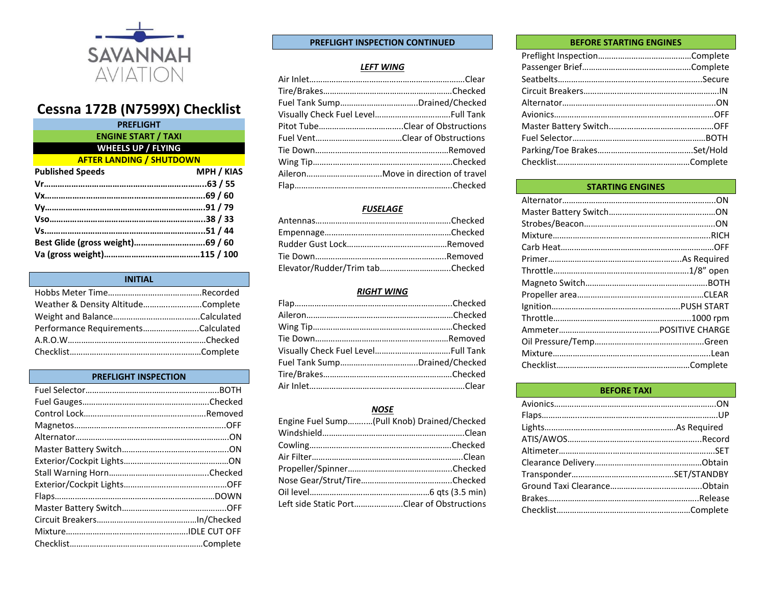

# **Cessna 172B (N7599X) Checklist**

| <b>PREFLIGHT</b>                |                   |
|---------------------------------|-------------------|
| <b>ENGINE START / TAXI</b>      |                   |
| <b>WHEELS UP / FLYING</b>       |                   |
| <b>AFTER LANDING / SHUTDOWN</b> |                   |
| <b>Published Speeds</b>         | <b>MPH / KIAS</b> |
|                                 |                   |
|                                 |                   |
|                                 |                   |
|                                 |                   |
|                                 |                   |
|                                 |                   |
|                                 |                   |
|                                 |                   |

| <b>INITIAL</b>                     |  |
|------------------------------------|--|
|                                    |  |
| Weather & Density AltitudeComplete |  |
|                                    |  |
| Performance RequirementsCalculated |  |
|                                    |  |
|                                    |  |

# **PREFLIGHT INSPECTION**

# **PREFLIGHT INSPECTION CONTINUED**

# *LEFT WING*

| Fuel Tank SumpDrained/Checked |
|-------------------------------|
|                               |
|                               |
|                               |
|                               |
|                               |
|                               |
|                               |

# *FUSELAGE*

| Elevator/Rudder/Trim tabChecked |  |
|---------------------------------|--|

#### *RIGHT WING*

# *NOSE*

| Engine Fuel Sump(Pull Knob) Drained/Checked |  |
|---------------------------------------------|--|
|                                             |  |
|                                             |  |
|                                             |  |
|                                             |  |
|                                             |  |
|                                             |  |
| Left side Static PortClear of Obstructions  |  |

#### **BEFORE STARTING ENGINES**

| <b>STARTING ENGINES</b> |  |
|-------------------------|--|
|                         |  |
|                         |  |
|                         |  |
|                         |  |
|                         |  |
|                         |  |
|                         |  |
|                         |  |
|                         |  |
|                         |  |
|                         |  |
|                         |  |
|                         |  |
|                         |  |
|                         |  |
|                         |  |

| <b>BEFORE TAXI</b> |  |
|--------------------|--|
|                    |  |
|                    |  |
|                    |  |
|                    |  |
|                    |  |
|                    |  |
|                    |  |
|                    |  |
|                    |  |
|                    |  |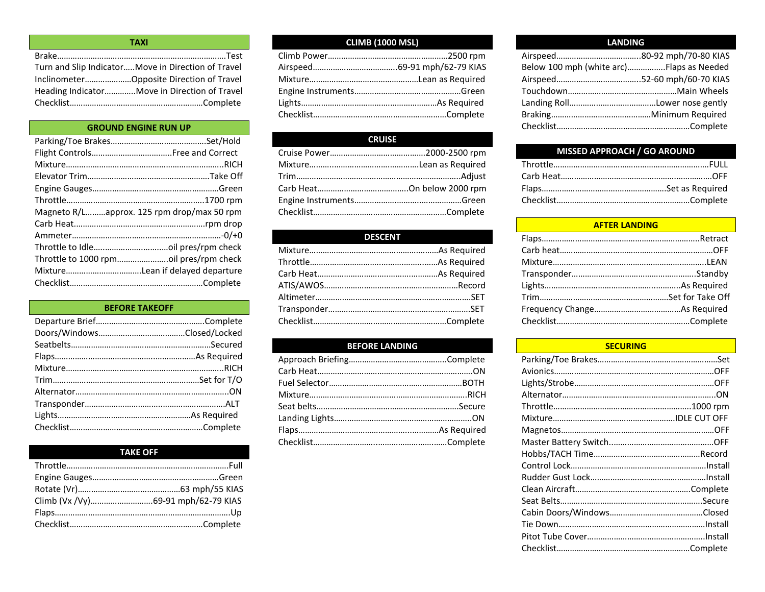| <b>TAXI</b>                                         |  |
|-----------------------------------------------------|--|
|                                                     |  |
| Turn and Slip Indicator Move in Direction of Travel |  |
| InclinometerOpposite Direction of Travel            |  |
| Heading IndicatorMove in Direction of Travel        |  |
|                                                     |  |

# **GROUND ENGINE RUN UP**

| Magneto R/Lapprox. 125 rpm drop/max 50 rpm |  |
|--------------------------------------------|--|
|                                            |  |
|                                            |  |
|                                            |  |
|                                            |  |
|                                            |  |
|                                            |  |

# **BEFORE TAKEOFF**

# **TAKE OFF**

# **CLIMB (1000 MSL)**

# **CRUISE**

# **DESCENT**

# **BEFORE LANDING**

## **LANDING**

| Below 100 mph (white arc)Flaps as Needed |  |
|------------------------------------------|--|
|                                          |  |
|                                          |  |
|                                          |  |
|                                          |  |
|                                          |  |
|                                          |  |

# **MISSED APPROACH / GO AROUND**

## **AFTER LANDING**

# **SECURING**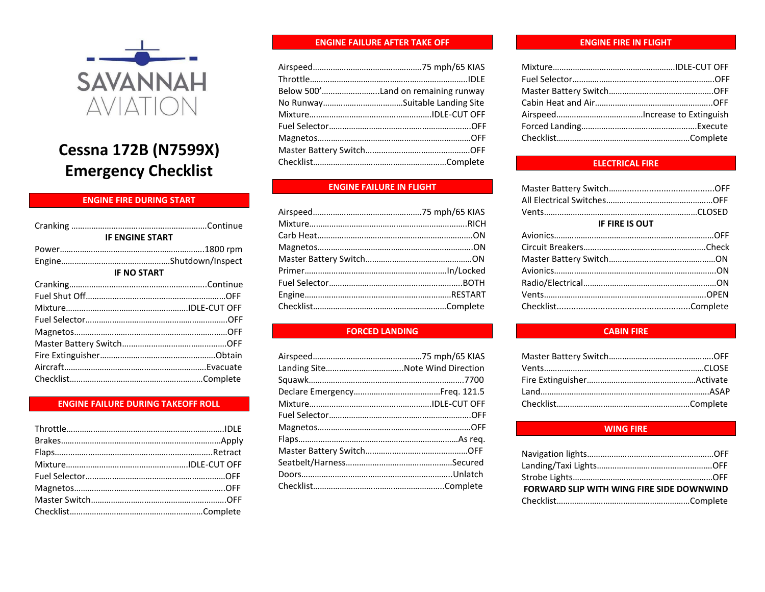

# **Cessna 172B (N7599X) Emergency Checklist**

# **ENGINE FIRE DURING START**

| <b>IF ENGINE START</b> |  |
|------------------------|--|
|                        |  |
|                        |  |
| <b>IF NO START</b>     |  |
|                        |  |
|                        |  |
|                        |  |
|                        |  |
|                        |  |
|                        |  |
|                        |  |
|                        |  |
|                        |  |
|                        |  |

#### **ENGINE FAILURE DURING TAKEOFF ROLL**

#### **ENGINE FAILURE AFTER TAKE OFF**

| Below 500'Land on remaining runway |
|------------------------------------|
|                                    |
|                                    |
|                                    |
|                                    |
|                                    |
|                                    |

# **ENGINE FAILURE IN FLIGHT**

# **FORCED LANDING**

#### **ENGINE FIRE IN FLIGHT**

# **ELECTRICAL FIRE**

| <b>IF FIRE IS OUT</b> |  |
|-----------------------|--|
|                       |  |
|                       |  |
|                       |  |
|                       |  |
|                       |  |
|                       |  |
|                       |  |

## **CABIN FIRE**

#### **WING FIRE**

| FORWARD SLIP WITH WING FIRE SIDE DOWNWIND |  |
|-------------------------------------------|--|
|                                           |  |